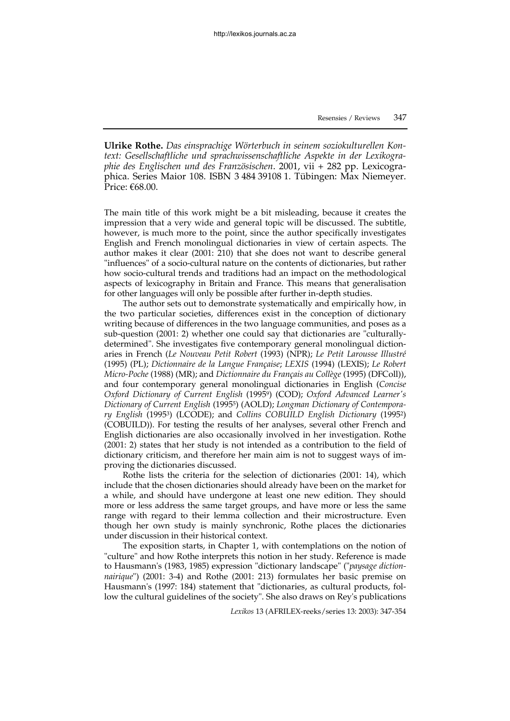**Ulrike Rothe.** *Das einsprachige Wörterbuch in seinem soziokulturellen Kontext: Gesellschaftliche und sprachwissenschaftliche Aspekte in der Lexikographie des Englischen und des Französischen*. 2001, vii + 282 pp. Lexicographica. Series Maior 108. ISBN 3 484 39108 1. Tübingen: Max Niemeyer. Price: €68.00.

The main title of this work might be a bit misleading, because it creates the impression that a very wide and general topic will be discussed. The subtitle, however, is much more to the point, since the author specifically investigates English and French monolingual dictionaries in view of certain aspects. The author makes it clear (2001: 210) that she does not want to describe general "influences" of a socio-cultural nature on the contents of dictionaries, but rather how socio-cultural trends and traditions had an impact on the methodological aspects of lexicography in Britain and France. This means that generalisation for other languages will only be possible after further in-depth studies.

The author sets out to demonstrate systematically and empirically how, in the two particular societies, differences exist in the conception of dictionary writing because of differences in the two language communities, and poses as a sub-question (2001: 2) whether one could say that dictionaries are "culturallydetermined". She investigates five contemporary general monolingual dictionaries in French (*Le Nouveau Petit Robert* (1993) (NPR); *Le Petit Larousse Illustré* (1995) (PL); *Dictionnaire de la Langue Française*; *LEXIS* (1994) (LEXIS); *Le Robert Micro-Poche* (1988) (MR); and *Dictionnaire du Français au Collège* (1995) (DFColl)), and four contemporary general monolingual dictionaries in English (*Concise Oxford Dictionary of Current English* (19959) (COD); *Oxford Advanced Learner's Dictionary of Current English* (19955) (AOLD); *Longman Dictionary of Contemporary English* (19953) (LCODE); and *Collins COBUILD English Dictionary* (19952) (COBUILD)). For testing the results of her analyses, several other French and English dictionaries are also occasionally involved in her investigation. Rothe (2001: 2) states that her study is not intended as a contribution to the field of dictionary criticism, and therefore her main aim is not to suggest ways of improving the dictionaries discussed.

Rothe lists the criteria for the selection of dictionaries (2001: 14), which include that the chosen dictionaries should already have been on the market for a while, and should have undergone at least one new edition. They should more or less address the same target groups, and have more or less the same range with regard to their lemma collection and their microstructure. Even though her own study is mainly synchronic, Rothe places the dictionaries under discussion in their historical context.

The exposition starts, in Chapter 1, with contemplations on the notion of "culture" and how Rothe interprets this notion in her study. Reference is made to Hausmann's (1983, 1985) expression "dictionary landscape" ("*paysage dictionnairique*") (2001: 3-4) and Rothe (2001: 213) formulates her basic premise on Hausmann's (1997: 184) statement that "dictionaries, as cultural products, follow the cultural guidelines of the society". She also draws on Rey's publications

*Lexikos* 13 (AFRILEX-reeks/series 13: 2003): 347-354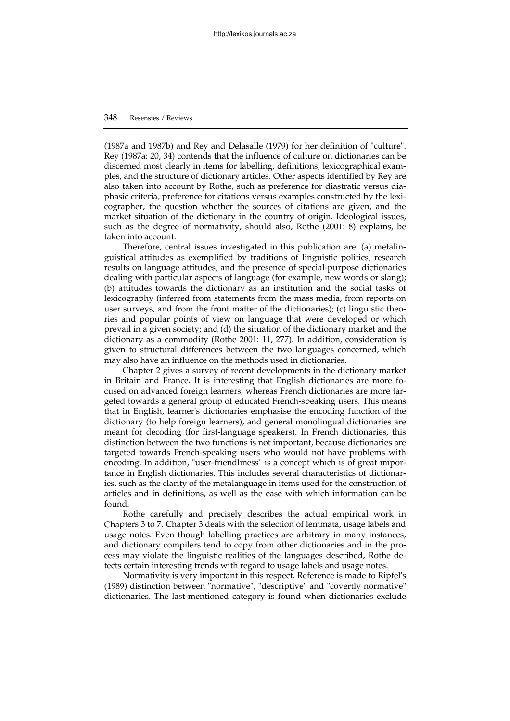## 348 Resensies / Reviews

(1987a and 1987b) and Rey and Delasalle (1979) for her definition of "culture". Rey (1987a: 20, 34) contends that the influence of culture on dictionaries can be discerned most clearly in items for labelling, definitions, lexicographical examples, and the structure of dictionary articles. Other aspects identified by Rey are also taken into account by Rothe, such as preference for diastratic versus diaphasic criteria, preference for citations versus examples constructed by the lexicographer, the question whether the sources of citations are given, and the market situation of the dictionary in the country of origin. Ideological issues, such as the degree of normativity, should also, Rothe (2001: 8) explains, be taken into account.

Therefore, central issues investigated in this publication are: (a) metalinguistical attitudes as exemplified by traditions of linguistic politics, research results on language attitudes, and the presence of special-purpose dictionaries dealing with particular aspects of language (for example, new words or slang); (b) attitudes towards the dictionary as an institution and the social tasks of lexicography (inferred from statements from the mass media, from reports on user surveys, and from the front matter of the dictionaries); (c) linguistic theories and popular points of view on language that were developed or which prevail in a given society; and (d) the situation of the dictionary market and the dictionary as a commodity (Rothe 2001: 11, 277). In addition, consideration is given to structural differences between the two languages concerned, which may also have an influence on the methods used in dictionaries.

Chapter 2 gives a survey of recent developments in the dictionary market in Britain and France. It is interesting that English dictionaries are more focused on advanced foreign learners, whereas French dictionaries are more targeted towards a general group of educated French-speaking users. This means that in English, learner's dictionaries emphasise the encoding function of the dictionary (to help foreign learners), and general monolingual dictionaries are meant for decoding (for first-language speakers). In French dictionaries, this distinction between the two functions is not important, because dictionaries are targeted towards French-speaking users who would not have problems with encoding. In addition, "user-friendliness" is a concept which is of great importance in English dictionaries. This includes several characteristics of dictionaries, such as the clarity of the metalanguage in items used for the construction of articles and in definitions, as well as the ease with which information can be found.

Rothe carefully and precisely describes the actual empirical work in Chapters 3 to 7. Chapter 3 deals with the selection of lemmata, usage labels and usage notes. Even though labelling practices are arbitrary in many instances, and dictionary compilers tend to copy from other dictionaries and in the process may violate the linguistic realities of the languages described, Rothe detects certain interesting trends with regard to usage labels and usage notes.

Normativity is very important in this respect. Reference is made to Ripfel's (1989) distinction between "normative", "descriptive" and "covertly normative" dictionaries. The last-mentioned category is found when dictionaries exclude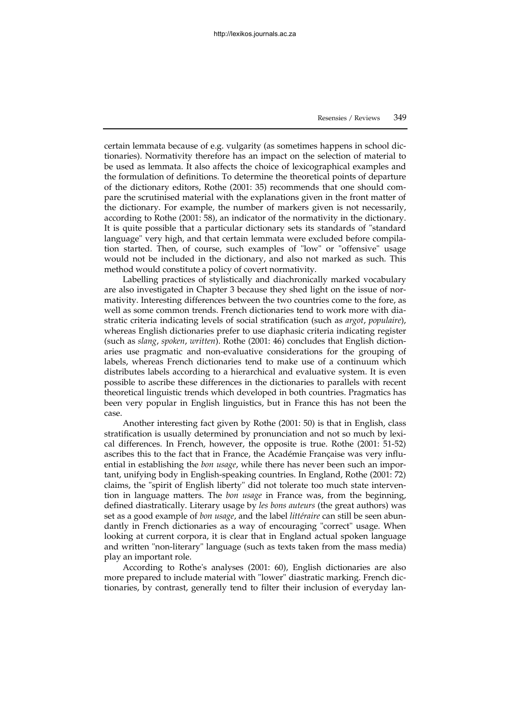certain lemmata because of e.g. vulgarity (as sometimes happens in school dictionaries). Normativity therefore has an impact on the selection of material to be used as lemmata. It also affects the choice of lexicographical examples and the formulation of definitions. To determine the theoretical points of departure of the dictionary editors, Rothe (2001: 35) recommends that one should compare the scrutinised material with the explanations given in the front matter of the dictionary. For example, the number of markers given is not necessarily, according to Rothe (2001: 58), an indicator of the normativity in the dictionary. It is quite possible that a particular dictionary sets its standards of "standard language" very high, and that certain lemmata were excluded before compilation started. Then, of course, such examples of "low" or "offensive" usage would not be included in the dictionary, and also not marked as such. This method would constitute a policy of covert normativity.

Labelling practices of stylistically and diachronically marked vocabulary are also investigated in Chapter 3 because they shed light on the issue of normativity. Interesting differences between the two countries come to the fore, as well as some common trends. French dictionaries tend to work more with diastratic criteria indicating levels of social stratification (such as *argot*, *populaire*), whereas English dictionaries prefer to use diaphasic criteria indicating register (such as *slang*, *spoken*, *written*). Rothe (2001: 46) concludes that English dictionaries use pragmatic and non-evaluative considerations for the grouping of labels, whereas French dictionaries tend to make use of a continuum which distributes labels according to a hierarchical and evaluative system. It is even possible to ascribe these differences in the dictionaries to parallels with recent theoretical linguistic trends which developed in both countries. Pragmatics has been very popular in English linguistics, but in France this has not been the case.

Another interesting fact given by Rothe (2001: 50) is that in English, class stratification is usually determined by pronunciation and not so much by lexical differences. In French, however, the opposite is true. Rothe (2001: 51-52) ascribes this to the fact that in France, the Académie Française was very influential in establishing the *bon usage*, while there has never been such an important, unifying body in English-speaking countries. In England, Rothe (2001: 72) claims, the "spirit of English liberty" did not tolerate too much state intervention in language matters. The *bon usage* in France was, from the beginning, defined diastratically. Literary usage by *les bons auteurs* (the great authors) was set as a good example of *bon usage*, and the label *littéraire* can still be seen abundantly in French dictionaries as a way of encouraging "correct" usage. When looking at current corpora, it is clear that in England actual spoken language and written "non-literary" language (such as texts taken from the mass media) play an important role.

According to Rothe's analyses (2001: 60), English dictionaries are also more prepared to include material with "lower" diastratic marking. French dictionaries, by contrast, generally tend to filter their inclusion of everyday lan-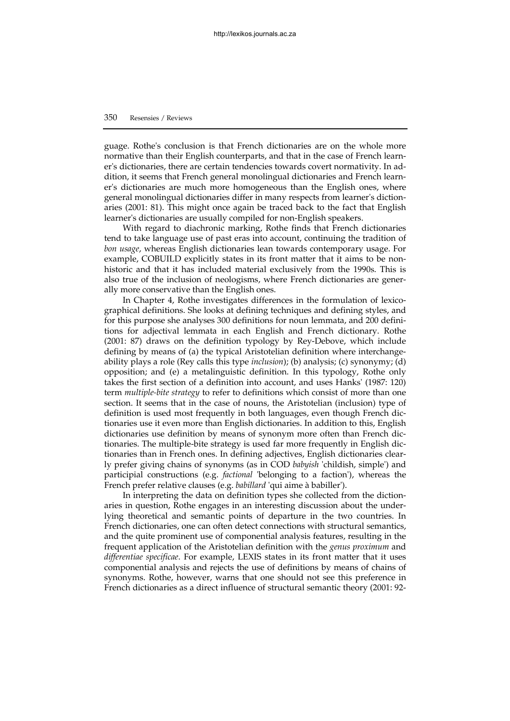## 350 Resensies / Reviews

guage. Rothe's conclusion is that French dictionaries are on the whole more normative than their English counterparts, and that in the case of French learner's dictionaries, there are certain tendencies towards covert normativity. In addition, it seems that French general monolingual dictionaries and French learner's dictionaries are much more homogeneous than the English ones, where general monolingual dictionaries differ in many respects from learner's dictionaries (2001: 81). This might once again be traced back to the fact that English learner's dictionaries are usually compiled for non-English speakers.

With regard to diachronic marking, Rothe finds that French dictionaries tend to take language use of past eras into account, continuing the tradition of *bon usage*, whereas English dictionaries lean towards contemporary usage. For example, COBUILD explicitly states in its front matter that it aims to be nonhistoric and that it has included material exclusively from the 1990s. This is also true of the inclusion of neologisms, where French dictionaries are generally more conservative than the English ones.

In Chapter 4, Rothe investigates differences in the formulation of lexicographical definitions. She looks at defining techniques and defining styles, and for this purpose she analyses 300 definitions for noun lemmata, and 200 definitions for adjectival lemmata in each English and French dictionary. Rothe (2001: 87) draws on the definition typology by Rey-Debove, which include defining by means of (a) the typical Aristotelian definition where interchangeability plays a role (Rey calls this type *inclusion*); (b) analysis; (c) synonymy; (d) opposition; and (e) a metalinguistic definition. In this typology, Rothe only takes the first section of a definition into account, and uses Hanks' (1987: 120) term *multiple-bite strategy* to refer to definitions which consist of more than one section. It seems that in the case of nouns, the Aristotelian (inclusion) type of definition is used most frequently in both languages, even though French dictionaries use it even more than English dictionaries. In addition to this, English dictionaries use definition by means of synonym more often than French dictionaries. The multiple-bite strategy is used far more frequently in English dictionaries than in French ones. In defining adjectives, English dictionaries clearly prefer giving chains of synonyms (as in COD *babyish* 'childish, simple') and participial constructions (e.g. *factional* 'belonging to a faction'), whereas the French prefer relative clauses (e.g. *babillard* 'qui aime à babiller').

In interpreting the data on definition types she collected from the dictionaries in question, Rothe engages in an interesting discussion about the underlying theoretical and semantic points of departure in the two countries. In French dictionaries, one can often detect connections with structural semantics, and the quite prominent use of componential analysis features, resulting in the frequent application of the Aristotelian definition with the *genus proximum* and *differentiae specificae*. For example, LEXIS states in its front matter that it uses componential analysis and rejects the use of definitions by means of chains of synonyms. Rothe, however, warns that one should not see this preference in French dictionaries as a direct influence of structural semantic theory (2001: 92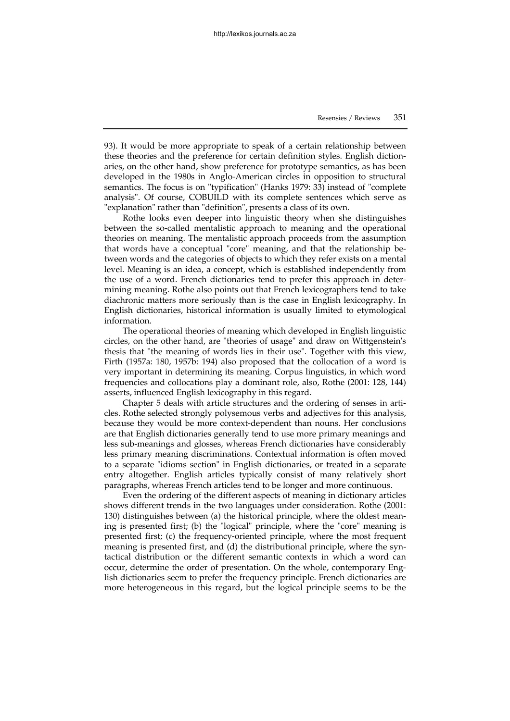93). It would be more appropriate to speak of a certain relationship between these theories and the preference for certain definition styles. English dictionaries, on the other hand, show preference for prototype semantics, as has been developed in the 1980s in Anglo-American circles in opposition to structural semantics. The focus is on "typification" (Hanks 1979: 33) instead of "complete analysis". Of course, COBUILD with its complete sentences which serve as "explanation" rather than "definition", presents a class of its own.

Rothe looks even deeper into linguistic theory when she distinguishes between the so-called mentalistic approach to meaning and the operational theories on meaning. The mentalistic approach proceeds from the assumption that words have a conceptual "core" meaning, and that the relationship between words and the categories of objects to which they refer exists on a mental level. Meaning is an idea, a concept, which is established independently from the use of a word. French dictionaries tend to prefer this approach in determining meaning. Rothe also points out that French lexicographers tend to take diachronic matters more seriously than is the case in English lexicography. In English dictionaries, historical information is usually limited to etymological information.

The operational theories of meaning which developed in English linguistic circles, on the other hand, are "theories of usage" and draw on Wittgenstein's thesis that "the meaning of words lies in their use". Together with this view, Firth (1957a: 180, 1957b: 194) also proposed that the collocation of a word is very important in determining its meaning. Corpus linguistics, in which word frequencies and collocations play a dominant role, also, Rothe (2001: 128, 144) asserts, influenced English lexicography in this regard.

Chapter 5 deals with article structures and the ordering of senses in articles. Rothe selected strongly polysemous verbs and adjectives for this analysis, because they would be more context-dependent than nouns. Her conclusions are that English dictionaries generally tend to use more primary meanings and less sub-meanings and glosses, whereas French dictionaries have considerably less primary meaning discriminations. Contextual information is often moved to a separate "idioms section" in English dictionaries, or treated in a separate entry altogether. English articles typically consist of many relatively short paragraphs, whereas French articles tend to be longer and more continuous.

Even the ordering of the different aspects of meaning in dictionary articles shows different trends in the two languages under consideration. Rothe (2001: 130) distinguishes between (a) the historical principle, where the oldest meaning is presented first; (b) the "logical" principle, where the "core" meaning is presented first; (c) the frequency-oriented principle, where the most frequent meaning is presented first, and (d) the distributional principle, where the syntactical distribution or the different semantic contexts in which a word can occur, determine the order of presentation. On the whole, contemporary English dictionaries seem to prefer the frequency principle. French dictionaries are more heterogeneous in this regard, but the logical principle seems to be the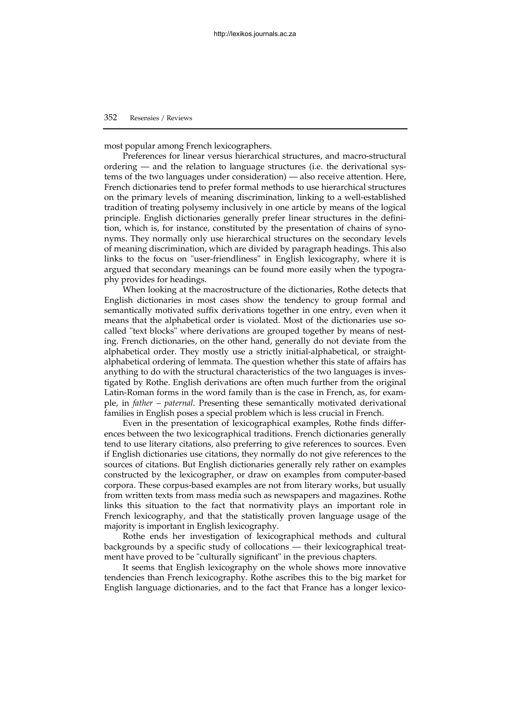# 352 Resensies / Reviews

most popular among French lexicographers.

Preferences for linear versus hierarchical structures, and macro-structural ordering — and the relation to language structures (i.e. the derivational systems of the two languages under consideration) — also receive attention. Here, French dictionaries tend to prefer formal methods to use hierarchical structures on the primary levels of meaning discrimination, linking to a well-established tradition of treating polysemy inclusively in one article by means of the logical principle. English dictionaries generally prefer linear structures in the definition, which is, for instance, constituted by the presentation of chains of synonyms. They normally only use hierarchical structures on the secondary levels of meaning discrimination, which are divided by paragraph headings. This also links to the focus on "user-friendliness" in English lexicography, where it is argued that secondary meanings can be found more easily when the typography provides for headings.

When looking at the macrostructure of the dictionaries, Rothe detects that English dictionaries in most cases show the tendency to group formal and semantically motivated suffix derivations together in one entry, even when it means that the alphabetical order is violated. Most of the dictionaries use socalled "text blocks" where derivations are grouped together by means of nesting. French dictionaries, on the other hand, generally do not deviate from the alphabetical order. They mostly use a strictly initial-alphabetical, or straightalphabetical ordering of lemmata. The question whether this state of affairs has anything to do with the structural characteristics of the two languages is investigated by Rothe. English derivations are often much further from the original Latin-Roman forms in the word family than is the case in French, as, for example, in *father* – *paternal*. Presenting these semantically motivated derivational families in English poses a special problem which is less crucial in French.

Even in the presentation of lexicographical examples, Rothe finds differences between the two lexicographical traditions. French dictionaries generally tend to use literary citations, also preferring to give references to sources. Even if English dictionaries use citations, they normally do not give references to the sources of citations. But English dictionaries generally rely rather on examples constructed by the lexicographer, or draw on examples from computer-based corpora. These corpus-based examples are not from literary works, but usually from written texts from mass media such as newspapers and magazines. Rothe links this situation to the fact that normativity plays an important role in French lexicography, and that the statistically proven language usage of the majority is important in English lexicography.

Rothe ends her investigation of lexicographical methods and cultural backgrounds by a specific study of collocations — their lexicographical treatment have proved to be "culturally significant" in the previous chapters.

It seems that English lexicography on the whole shows more innovative tendencies than French lexicography. Rothe ascribes this to the big market for English language dictionaries, and to the fact that France has a longer lexico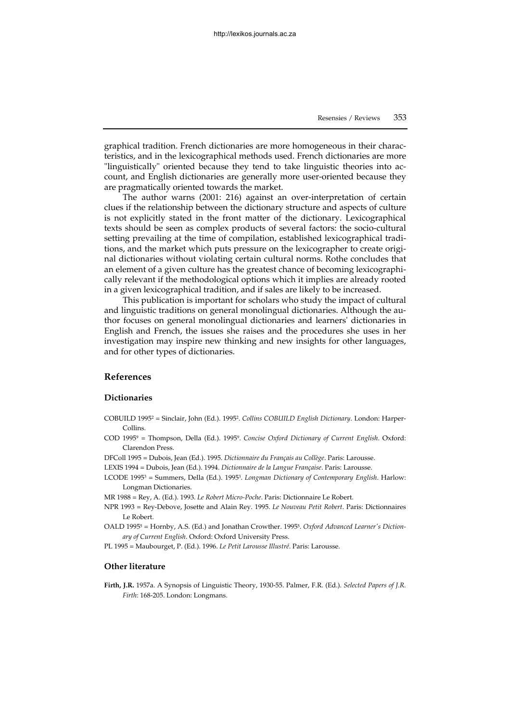graphical tradition. French dictionaries are more homogeneous in their characteristics, and in the lexicographical methods used. French dictionaries are more "linguistically" oriented because they tend to take linguistic theories into account, and English dictionaries are generally more user-oriented because they are pragmatically oriented towards the market.

The author warns (2001: 216) against an over-interpretation of certain clues if the relationship between the dictionary structure and aspects of culture is not explicitly stated in the front matter of the dictionary. Lexicographical texts should be seen as complex products of several factors: the socio-cultural setting prevailing at the time of compilation, established lexicographical traditions, and the market which puts pressure on the lexicographer to create original dictionaries without violating certain cultural norms. Rothe concludes that an element of a given culture has the greatest chance of becoming lexicographically relevant if the methodological options which it implies are already rooted in a given lexicographical tradition, and if sales are likely to be increased.

This publication is important for scholars who study the impact of cultural and linguistic traditions on general monolingual dictionaries. Although the author focuses on general monolingual dictionaries and learners' dictionaries in English and French, the issues she raises and the procedures she uses in her investigation may inspire new thinking and new insights for other languages, and for other types of dictionaries.

#### **References**

## **Dictionaries**

- COBUILD 19952 = Sinclair, John (Ed.). 19952. *Collins COBUILD English Dictionary*. London: Harper-Collins.
- COD 19959 = Thompson, Della (Ed.). 19959. *Concise Oxford Dictionary of Current English*. Oxford: Clarendon Press.
- DFColl 1995 = Dubois, Jean (Ed.). 1995. *Dictionnaire du Français au Collège*. Paris: Larousse.
- LEXIS 1994 = Dubois, Jean (Ed.). 1994. *Dictionnaire de la Langue Française*. Paris: Larousse.
- LCODE 19953 = Summers, Della (Ed.). 19953. *Longman Dictionary of Contemporary English*. Harlow: Longman Dictionaries.
- MR 1988 = Rey, A. (Ed.). 1993. *Le Robert Micro-Poche*. Paris: Dictionnaire Le Robert.
- NPR 1993 = Rey-Debove, Josette and Alain Rey. 1995. *Le Nouveau Petit Robert*. Paris: Dictionnaires Le Robert.
- OALD 19955 = Hornby, A.S. (Ed.) and Jonathan Crowther. 19955. *Oxford Advanced Learner's Dictionary of Current English*. Oxford: Oxford University Press.
- PL 1995 = Maubourget, P. (Ed.). 1996. *Le Petit Larousse Illustré*. Paris: Larousse.

#### **Other literature**

**Firth, J.R.** 1957a. A Synopsis of Linguistic Theory, 1930-55. Palmer, F.R. (Ed.). *Selected Papers of J.R. Firth*: 168-205. London: Longmans.